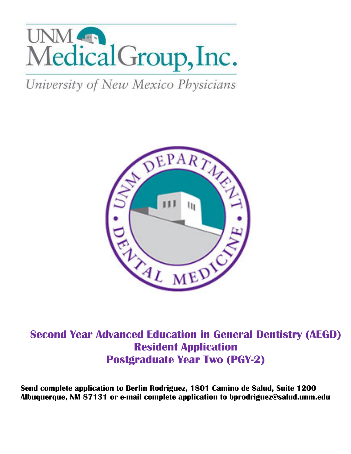

University of New Mexico Physicians



# **Second Year Advanced Education in General Dentistry (AEGD) Resident Application Postgraduate Year Two (PGY-2)**

**Send complete application to Berlin Rodriguez, 1801 Camino de Salud, Suite 1200 Albuquerque, NM 87131 or e-mail complete application to bprodriguez@salud.unm.edu**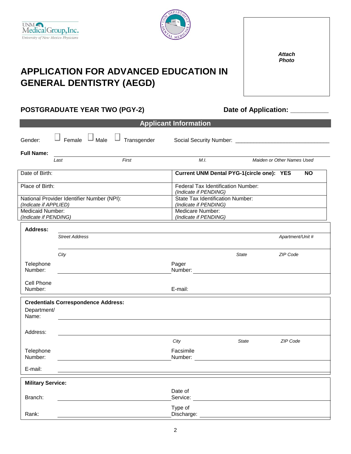

# **APPLICATION FOR ADVANCED EDUCATION IN GENERAL DENTISTRY (AEGD)**

# POSTGRADUATE YEAR TWO (PGY-2) Date of Application: \_\_\_\_\_\_\_\_\_\_\_\_\_\_\_\_\_\_\_\_\_\_\_\_\_\_\_\_\_\_

*Attach Photo*

|                                                                     |                                            |                    |             | <b>Applicant Information</b>                                                                                                                                                                                                            |                                                  |                            |  |
|---------------------------------------------------------------------|--------------------------------------------|--------------------|-------------|-----------------------------------------------------------------------------------------------------------------------------------------------------------------------------------------------------------------------------------------|--------------------------------------------------|----------------------------|--|
| Gender:                                                             |                                            | Female $\Box$ Male | Transgender |                                                                                                                                                                                                                                         |                                                  |                            |  |
| <b>Full Name:</b>                                                   |                                            |                    |             |                                                                                                                                                                                                                                         |                                                  |                            |  |
|                                                                     | Last                                       |                    | First       | M.I.                                                                                                                                                                                                                                    |                                                  | Maiden or Other Names Used |  |
| Date of Birth:                                                      |                                            |                    |             |                                                                                                                                                                                                                                         | <b>Current UNM Dental PYG-1(circle one): YES</b> | NO.                        |  |
| Place of Birth:                                                     |                                            |                    |             | Federal Tax Identification Number:<br>(Indicate if PENDING)                                                                                                                                                                             |                                                  |                            |  |
| National Provider Identifier Number (NPI):<br>(Indicate if APPLIED) |                                            |                    |             | State Tax Identification Number:<br>(Indicate if PENDING)                                                                                                                                                                               |                                                  |                            |  |
| <b>Medicaid Number:</b><br>(Indicate if PENDING)                    |                                            |                    |             | Medicare Number:<br>(Indicate if PENDING)                                                                                                                                                                                               |                                                  |                            |  |
| <b>Address:</b>                                                     |                                            |                    |             |                                                                                                                                                                                                                                         |                                                  |                            |  |
|                                                                     | <b>Street Address</b>                      |                    |             |                                                                                                                                                                                                                                         |                                                  | Apartment/Unit #           |  |
|                                                                     | City                                       |                    |             |                                                                                                                                                                                                                                         | <b>State</b>                                     | ZIP Code                   |  |
| Telephone<br>Number:                                                |                                            |                    |             | Pager<br>Number: William State State State State State State State State State State State State State State State State State State State State State State State State State State State State State State State State State State St |                                                  |                            |  |
| Cell Phone                                                          |                                            |                    |             |                                                                                                                                                                                                                                         |                                                  |                            |  |
| Number:                                                             |                                            |                    |             | E-mail:                                                                                                                                                                                                                                 |                                                  |                            |  |
| Department/<br>Name:                                                | <b>Credentials Correspondence Address:</b> |                    |             |                                                                                                                                                                                                                                         |                                                  |                            |  |
| Address:                                                            |                                            |                    |             |                                                                                                                                                                                                                                         |                                                  |                            |  |
|                                                                     |                                            |                    |             | City                                                                                                                                                                                                                                    | <b>State</b>                                     | ZIP Code                   |  |
| Telephone<br>Number:                                                |                                            |                    |             | Facsimile                                                                                                                                                                                                                               |                                                  |                            |  |
| E-mail:                                                             |                                            |                    |             |                                                                                                                                                                                                                                         |                                                  |                            |  |
| <b>Military Service:</b>                                            |                                            |                    |             |                                                                                                                                                                                                                                         |                                                  |                            |  |
| Branch:                                                             |                                            |                    |             | Date of                                                                                                                                                                                                                                 |                                                  |                            |  |
| Rank:                                                               |                                            |                    |             | Type of                                                                                                                                                                                                                                 |                                                  |                            |  |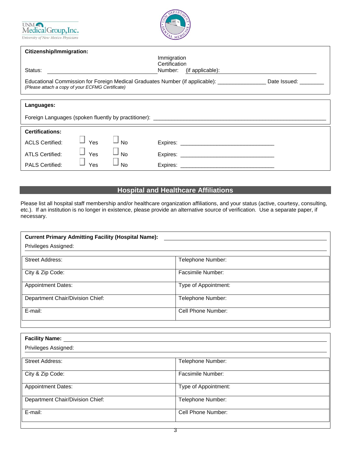



| <b>Citizenship/Immigration:</b> |                                                                                                                                                                         |           |                             |  |  |  |
|---------------------------------|-------------------------------------------------------------------------------------------------------------------------------------------------------------------------|-----------|-----------------------------|--|--|--|
|                                 |                                                                                                                                                                         |           | Immigration                 |  |  |  |
|                                 |                                                                                                                                                                         |           | Certification               |  |  |  |
| Status:                         |                                                                                                                                                                         |           | Number:<br>(if applicable): |  |  |  |
|                                 | Educational Commission for Foreign Medical Graduates Number (if applicable): ______________________<br>Date Issued:<br>(Please attach a copy of your ECFMG Certificate) |           |                             |  |  |  |
| Languages:                      |                                                                                                                                                                         |           |                             |  |  |  |
|                                 |                                                                                                                                                                         |           |                             |  |  |  |
| <b>Certifications:</b>          |                                                                                                                                                                         |           |                             |  |  |  |
| <b>ACLS Certified:</b>          | Yes                                                                                                                                                                     | $\Box$ No | Expires: Expires:           |  |  |  |
| <b>ATLS Certified:</b>          | Yes                                                                                                                                                                     | <b>No</b> | Expires: Expires:           |  |  |  |
| <b>PALS Certified:</b>          | Yes                                                                                                                                                                     | <b>No</b> |                             |  |  |  |

# **Hospital and Healthcare Affiliations**

Please list all hospital staff membership and/or healthcare organization affiliations, and your status (active, courtesy, consulting, etc.). If an institution is no longer in existence, please provide an alternative source of verification. Use a separate paper, if necessary.

| <b>Current Primary Admitting Facility (Hospital Name):</b> |  |  |  |  |
|------------------------------------------------------------|--|--|--|--|
|                                                            |  |  |  |  |
|                                                            |  |  |  |  |
| Telephone Number:                                          |  |  |  |  |
| Facsimile Number:                                          |  |  |  |  |
| Type of Appointment:                                       |  |  |  |  |
| Telephone Number:                                          |  |  |  |  |
| Cell Phone Number:                                         |  |  |  |  |
|                                                            |  |  |  |  |
|                                                            |  |  |  |  |
|                                                            |  |  |  |  |
| Telephone Number:                                          |  |  |  |  |
| Facsimile Number:                                          |  |  |  |  |
| Type of Appointment:                                       |  |  |  |  |
| Telephone Number:                                          |  |  |  |  |
| Cell Phone Number:                                         |  |  |  |  |
|                                                            |  |  |  |  |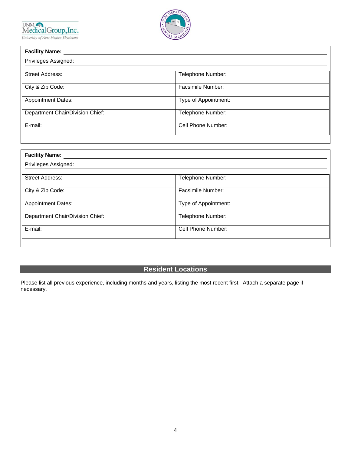



| <b>Facility Name:</b>            |                      |
|----------------------------------|----------------------|
| Privileges Assigned:             |                      |
| <b>Street Address:</b>           | Telephone Number:    |
|                                  |                      |
| City & Zip Code:                 | Facsimile Number:    |
| <b>Appointment Dates:</b>        | Type of Appointment: |
| Department Chair/Division Chief: | Telephone Number:    |
| E-mail:                          | Cell Phone Number:   |

| <b>Facility Name:</b>            |                      |  |
|----------------------------------|----------------------|--|
| Privileges Assigned:             |                      |  |
| <b>Street Address:</b>           | Telephone Number:    |  |
| City & Zip Code:                 | Facsimile Number:    |  |
| <b>Appointment Dates:</b>        | Type of Appointment: |  |
| Department Chair/Division Chief: | Telephone Number:    |  |
| E-mail:                          | Cell Phone Number:   |  |
|                                  |                      |  |

# **Resident Locations**

Please list all previous experience, including months and years, listing the most recent first. Attach a separate page if necessary.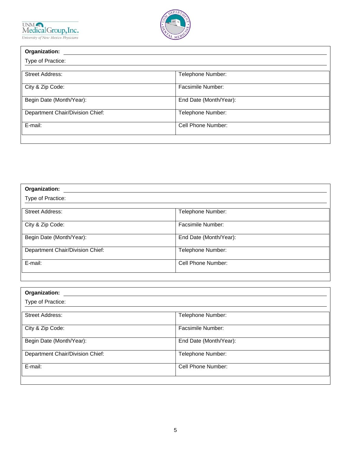



| Organization:                    |                        |  |
|----------------------------------|------------------------|--|
| Type of Practice:                |                        |  |
| <b>Street Address:</b>           | Telephone Number:      |  |
| City & Zip Code:                 | Facsimile Number:      |  |
| Begin Date (Month/Year):         | End Date (Month/Year): |  |
| Department Chair/Division Chief: | Telephone Number:      |  |
| E-mail:                          | Cell Phone Number:     |  |
|                                  |                        |  |

| Organization:                    |                        |  |  |  |
|----------------------------------|------------------------|--|--|--|
| Type of Practice:                |                        |  |  |  |
| <b>Street Address:</b>           | Telephone Number:      |  |  |  |
| City & Zip Code:                 | Facsimile Number:      |  |  |  |
| Begin Date (Month/Year):         | End Date (Month/Year): |  |  |  |
| Department Chair/Division Chief: | Telephone Number:      |  |  |  |
| E-mail:                          | Cell Phone Number:     |  |  |  |

| Organization:                    |                        |
|----------------------------------|------------------------|
| Type of Practice:                |                        |
| <b>Street Address:</b>           | Telephone Number:      |
| City & Zip Code:                 | Facsimile Number:      |
| Begin Date (Month/Year):         | End Date (Month/Year): |
| Department Chair/Division Chief: | Telephone Number:      |
| E-mail:                          | Cell Phone Number:     |
|                                  |                        |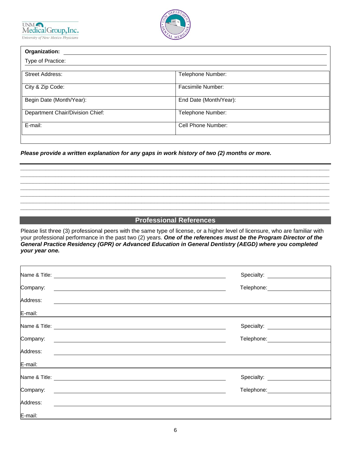



| Organization:                    |                        |  |
|----------------------------------|------------------------|--|
| Type of Practice:                |                        |  |
| <b>Street Address:</b>           | Telephone Number:      |  |
| City & Zip Code:                 | Facsimile Number:      |  |
| Begin Date (Month/Year):         | End Date (Month/Year): |  |
| Department Chair/Division Chief: | Telephone Number:      |  |
| E-mail:                          | Cell Phone Number:     |  |
|                                  |                        |  |

*Please provide a written explanation for any gaps in work history of two (2) months or more.*

#### **Professional References**

*\_\_\_\_\_\_\_\_\_\_\_\_\_\_\_\_\_\_\_\_\_\_\_\_\_\_\_\_\_\_\_\_\_\_\_\_\_\_\_\_\_\_\_\_\_\_\_\_\_\_\_\_\_\_\_\_\_\_\_\_\_\_\_\_\_\_\_\_\_\_\_\_\_\_\_\_\_\_\_\_\_\_\_\_\_\_\_\_\_\_\_\_\_\_\_\_\_ \_\_\_\_\_\_\_\_\_\_\_\_\_\_\_\_\_\_\_\_\_\_\_\_\_\_\_\_\_\_\_\_\_\_\_\_\_\_\_\_\_\_\_\_\_\_\_\_\_\_\_\_\_\_\_\_\_\_\_\_\_\_\_\_\_\_\_\_\_\_\_\_\_\_\_\_\_\_\_\_\_\_\_\_\_\_\_\_\_\_\_\_\_\_\_\_\_ \_\_\_\_\_\_\_\_\_\_\_\_\_\_\_\_\_\_\_\_\_\_\_\_\_\_\_\_\_\_\_\_\_\_\_\_\_\_\_\_\_\_\_\_\_\_\_\_\_\_\_\_\_\_\_\_\_\_\_\_\_\_\_\_\_\_\_\_\_\_\_\_\_\_\_\_\_\_\_\_\_\_\_\_\_\_\_\_\_\_\_\_\_\_\_\_\_ \_\_\_\_\_\_\_\_\_\_\_\_\_\_\_\_\_\_\_\_\_\_\_\_\_\_\_\_\_\_\_\_\_\_\_\_\_\_\_\_\_\_\_\_\_\_\_\_\_\_\_\_\_\_\_\_\_\_\_\_\_\_\_\_\_\_\_\_\_\_\_\_\_\_\_\_\_\_\_\_\_\_\_\_\_\_\_\_\_\_\_\_\_\_\_\_\_ \_\_\_\_\_\_\_\_\_\_\_\_\_\_\_\_\_\_\_\_\_\_\_\_\_\_\_\_\_\_\_\_\_\_\_\_\_\_\_\_\_\_\_\_\_\_\_\_\_\_\_\_\_\_\_\_\_\_\_\_\_\_\_\_\_\_\_\_\_\_\_\_\_\_\_\_\_\_\_\_\_\_\_\_\_\_\_\_\_\_\_\_\_\_\_\_\_ \_\_\_\_\_\_\_\_\_\_\_\_\_\_\_\_\_\_\_\_\_\_\_\_\_\_\_\_\_\_\_\_\_\_\_\_\_\_\_\_\_\_\_\_\_\_\_\_\_\_\_\_\_\_\_\_\_\_\_\_\_\_\_\_\_\_\_\_\_\_\_\_\_\_\_\_\_\_\_\_\_\_\_\_\_\_\_\_\_\_\_\_\_\_\_\_\_ \_\_\_\_\_\_\_\_\_\_\_\_\_\_\_\_\_\_\_\_\_\_\_\_\_\_\_\_\_\_\_\_\_\_\_\_\_\_\_\_\_\_\_\_\_\_\_\_\_\_\_\_\_\_\_\_\_\_\_\_\_\_\_\_\_\_\_\_\_\_\_\_\_\_\_\_\_\_\_\_\_\_\_\_\_\_\_\_\_\_\_\_\_\_\_\_\_*

Please list three (3) professional peers with the same type of license, or a higher level of licensure, who are familiar with your professional performance in the past two (2) years*. One of the references must be the Program Director of the General Practice Residency (GPR) or Advanced Education in General Dentistry (AEGD) where you completed your year one.* 

|                                                                                                                                                                                                                                      | Specialty:           |
|--------------------------------------------------------------------------------------------------------------------------------------------------------------------------------------------------------------------------------------|----------------------|
| Company:                                                                                                                                                                                                                             | Telephone: _________ |
| Address:                                                                                                                                                                                                                             |                      |
| E-mail:                                                                                                                                                                                                                              |                      |
| Name & Title: <u>example and the set of the set of the set of the set of the set of the set of the set of the set of the set of the set of the set of the set of the set of the set of the set of the set of the set of the set </u> | Specialty:           |
| Company:                                                                                                                                                                                                                             | Telephone: _________ |
| Address:                                                                                                                                                                                                                             |                      |
| E-mail:                                                                                                                                                                                                                              |                      |
|                                                                                                                                                                                                                                      | Specialty: ________  |
| Company:                                                                                                                                                                                                                             | Telephone: _________ |
| Address:                                                                                                                                                                                                                             |                      |
| E-mail:                                                                                                                                                                                                                              |                      |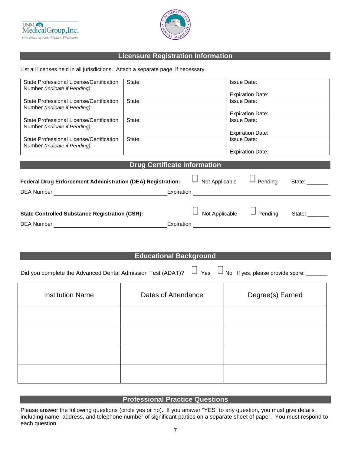



#### **Licensure Registration Information**

List all licenses held in all jurisdictions. Attach a separate page, if necessary.

| Number (Indicate if Pending):                                                                                                                                                                                                  | State:                              |                       | <b>Issue Date:</b>                                                  |                 |
|--------------------------------------------------------------------------------------------------------------------------------------------------------------------------------------------------------------------------------|-------------------------------------|-----------------------|---------------------------------------------------------------------|-----------------|
|                                                                                                                                                                                                                                |                                     |                       | <b>Expiration Date:</b>                                             |                 |
| State Professional License/Certification                                                                                                                                                                                       | State:                              |                       | <b>Issue Date:</b>                                                  |                 |
| Number (Indicate if Pending):                                                                                                                                                                                                  |                                     |                       | <b>Expiration Date:</b>                                             |                 |
| State Professional License/Certification                                                                                                                                                                                       | State:                              |                       | <b>Issue Date:</b>                                                  |                 |
| Number (Indicate if Pending):                                                                                                                                                                                                  |                                     |                       |                                                                     |                 |
|                                                                                                                                                                                                                                |                                     |                       | <b>Expiration Date:</b>                                             |                 |
| State Professional License/Certification<br>Number (Indicate if Pending):                                                                                                                                                      | State:                              |                       | <b>Issue Date:</b>                                                  |                 |
|                                                                                                                                                                                                                                |                                     |                       | <b>Expiration Date:</b>                                             |                 |
|                                                                                                                                                                                                                                | <b>Drug Certificate Information</b> |                       |                                                                     |                 |
|                                                                                                                                                                                                                                |                                     |                       |                                                                     |                 |
| Federal Drug Enforcement Administration (DEA) Registration:                                                                                                                                                                    |                                     | Not Applicable        | Pending                                                             | State: ________ |
|                                                                                                                                                                                                                                |                                     | Expiration            | <u> 1980 - Andrea Station Barbara, amerikan personal (h. 1980).</u> |                 |
|                                                                                                                                                                                                                                |                                     |                       |                                                                     |                 |
|                                                                                                                                                                                                                                |                                     |                       |                                                                     |                 |
| <b>State Controlled Substance Registration (CSR):</b>                                                                                                                                                                          |                                     | $\Box$ Not Applicable | $\Box$ Pending                                                      | State:          |
| DEA Number National Secretary Andrew Secretary Andrew Secretary Andrew Secretary Andrew Secretary Andrew Secretary Andrew Secretary Andrew Secretary Andrew Secretary Andrew Secretary Andrew Secretary Andrew Secretary Andre |                                     |                       |                                                                     |                 |
|                                                                                                                                                                                                                                |                                     |                       |                                                                     |                 |
|                                                                                                                                                                                                                                |                                     |                       |                                                                     |                 |
|                                                                                                                                                                                                                                |                                     |                       |                                                                     |                 |
|                                                                                                                                                                                                                                |                                     |                       |                                                                     |                 |
|                                                                                                                                                                                                                                | <b>Educational Background</b>       |                       |                                                                     |                 |
|                                                                                                                                                                                                                                |                                     |                       |                                                                     |                 |
| Did you complete the Advanced Dental Admission Test (ADAT)?                                                                                                                                                                    |                                     | $\Box$ Yes            | $\Box$ No If yes, please provide score: _______                     |                 |
|                                                                                                                                                                                                                                |                                     |                       |                                                                     |                 |
|                                                                                                                                                                                                                                |                                     |                       |                                                                     |                 |
| <b>Institution Name</b>                                                                                                                                                                                                        | Dates of Attendance                 |                       | Degree(s) Earned                                                    |                 |
|                                                                                                                                                                                                                                |                                     |                       |                                                                     |                 |
|                                                                                                                                                                                                                                |                                     |                       |                                                                     |                 |
|                                                                                                                                                                                                                                |                                     |                       |                                                                     |                 |
|                                                                                                                                                                                                                                |                                     |                       |                                                                     |                 |
|                                                                                                                                                                                                                                |                                     |                       |                                                                     |                 |
|                                                                                                                                                                                                                                |                                     |                       |                                                                     |                 |
|                                                                                                                                                                                                                                |                                     |                       |                                                                     |                 |
|                                                                                                                                                                                                                                |                                     |                       |                                                                     |                 |
|                                                                                                                                                                                                                                |                                     |                       |                                                                     |                 |

#### **Professional Practice Questions**

Please answer the following questions (circle yes or no). If you answer "YES" to any question, you must give details including name, address, and telephone number of significant parties on a separate sheet of paper. You must respond to each question.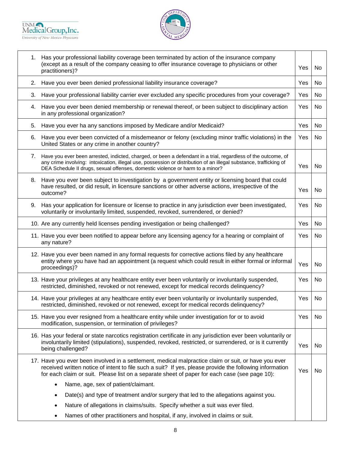



|    | 1. Has your professional liability coverage been terminated by action of the insurance company<br>(except as a result of the company ceasing to offer insurance coverage to physicians or other<br>practitioners)?                                                                                                   | Yes | No |
|----|----------------------------------------------------------------------------------------------------------------------------------------------------------------------------------------------------------------------------------------------------------------------------------------------------------------------|-----|----|
| 2. | Have you ever been denied professional liability insurance coverage?                                                                                                                                                                                                                                                 | Yes | No |
| 3. | Have your professional liability carrier ever excluded any specific procedures from your coverage?                                                                                                                                                                                                                   | Yes | No |
| 4. | Have you ever been denied membership or renewal thereof, or been subject to disciplinary action<br>in any professional organization?                                                                                                                                                                                 | Yes | No |
| 5. | Have you ever ha any sanctions imposed by Medicare and/or Medicaid?                                                                                                                                                                                                                                                  | Yes | No |
| 6. | Have you ever been convicted of a misdemeanor or felony (excluding minor traffic violations) in the<br>United States or any crime in another country?                                                                                                                                                                | Yes | No |
| 7. | Have you ever been arrested, indicted, charged, or been a defendant in a trial, regardless of the outcome, of<br>any crime involving: intoxication, illegal use, possession or distribution of an illegal substance, trafficking of<br>DEA Schedule II drugs, sexual offenses, domestic violence or harm to a minor? | Yes | No |
|    | 8. Have you ever been subject to investigation by a government entity or licensing board that could<br>have resulted, or did result, in licensure sanctions or other adverse actions, irrespective of the<br>outcome?                                                                                                | Yes | No |
| 9. | Has your application for licensure or license to practice in any jurisdiction ever been investigated,<br>voluntarily or involuntarily limited, suspended, revoked, surrendered, or denied?                                                                                                                           | Yes | No |
|    | 10. Are any currently held licenses pending investigation or being challenged?                                                                                                                                                                                                                                       | Yes | No |
|    | 11. Have you ever been notified to appear before any licensing agency for a hearing or complaint of<br>any nature?                                                                                                                                                                                                   | Yes | No |
|    | 12. Have you ever been named in any formal requests for corrective actions filed by any healthcare<br>entity where you have had an appointment (a request which could result in either formal or informal<br>proceedings)?                                                                                           | Yes | No |
|    | 13. Have your privileges at any healthcare entity ever been voluntarily or involuntarily suspended,<br>restricted, diminished, revoked or not renewed, except for medical records delinquency?                                                                                                                       | Yes | No |
|    | 14. Have your privileges at any healthcare entity ever been voluntarily or involuntarily suspended,<br>restricted, diminished, revoked or not renewed, except for medical records delinquency?                                                                                                                       | Yes | No |
|    | 15. Have you ever resigned from a healthcare entity while under investigation for or to avoid<br>modification, suspension, or termination of privileges?                                                                                                                                                             | Yes | No |
|    | 16. Has your federal or state narcotics registration certificate in any jurisdiction ever been voluntarily or<br>involuntarily limited (stipulations), suspended, revoked, restricted, or surrendered, or is it currently<br>being challenged?                                                                       | Yes | No |
|    | 17. Have you ever been involved in a settlement, medical malpractice claim or suit, or have you ever<br>received written notice of intent to file such a suit? If yes, please provide the following information<br>for each claim or suit. Please list on a separate sheet of paper for each case (see page 10):     | Yes | No |
|    | Name, age, sex of patient/claimant.<br>$\bullet$                                                                                                                                                                                                                                                                     |     |    |
|    | Date(s) and type of treatment and/or surgery that led to the allegations against you.<br>٠                                                                                                                                                                                                                           |     |    |
|    | Nature of allegations in claims/suits. Specify whether a suit was ever filed.<br>٠                                                                                                                                                                                                                                   |     |    |
|    | Names of other practitioners and hospital, if any, involved in claims or suit.                                                                                                                                                                                                                                       |     |    |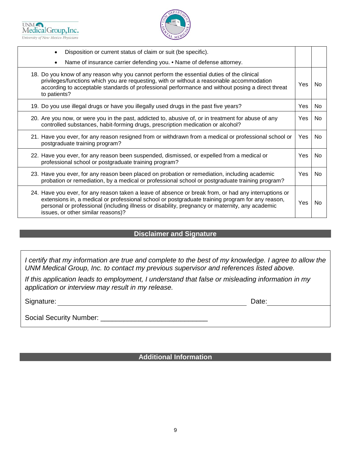



|                                                                                                                                                                                                                                                                                                            | Disposition or current status of claim or suit (be specific).                                                                                                                                                                                                                                                                                      |     |           |
|------------------------------------------------------------------------------------------------------------------------------------------------------------------------------------------------------------------------------------------------------------------------------------------------------------|----------------------------------------------------------------------------------------------------------------------------------------------------------------------------------------------------------------------------------------------------------------------------------------------------------------------------------------------------|-----|-----------|
|                                                                                                                                                                                                                                                                                                            | Name of insurance carrier defending you. • Name of defense attorney.                                                                                                                                                                                                                                                                               |     |           |
| 18. Do you know of any reason why you cannot perform the essential duties of the clinical<br>privileges/functions which you are requesting, with or without a reasonable accommodation<br>according to acceptable standards of professional performance and without posing a direct threat<br>to patients? |                                                                                                                                                                                                                                                                                                                                                    |     | <b>No</b> |
|                                                                                                                                                                                                                                                                                                            | 19. Do you use illegal drugs or have you illegally used drugs in the past five years?                                                                                                                                                                                                                                                              | Yes | <b>No</b> |
|                                                                                                                                                                                                                                                                                                            | 20. Are you now, or were you in the past, addicted to, abusive of, or in treatment for abuse of any<br>controlled substances, habit-forming drugs, prescription medication or alcohol?                                                                                                                                                             |     | <b>No</b> |
|                                                                                                                                                                                                                                                                                                            | 21. Have you ever, for any reason resigned from or withdrawn from a medical or professional school or<br>postgraduate training program?                                                                                                                                                                                                            |     |           |
|                                                                                                                                                                                                                                                                                                            | 22. Have you ever, for any reason been suspended, dismissed, or expelled from a medical or<br>professional school or postgraduate training program?                                                                                                                                                                                                |     |           |
|                                                                                                                                                                                                                                                                                                            | 23. Have you ever, for any reason been placed on probation or remediation, including academic<br>probation or remediation, by a medical or professional school or postgraduate training program?                                                                                                                                                   |     | No.       |
|                                                                                                                                                                                                                                                                                                            | 24. Have you ever, for any reason taken a leave of absence or break from, or had any interruptions or<br>extensions in, a medical or professional school or postgraduate training program for any reason,<br>personal or professional (including illness or disability, pregnancy or maternity, any academic<br>issues, or other similar reasons)? | Yes | No        |

### **Disclaimer and Signature**

*I certify that my information are true and complete to the best of my knowledge. I agree to allow the UNM Medical Group, Inc. to contact my previous supervisor and references listed above.*

*If this application leads to employment, I understand that false or misleading information in my application or interview may result in my release.*

Signature: Date:

Social Security Number: \_\_\_\_\_\_\_\_\_\_\_\_\_\_\_\_\_\_\_\_\_\_\_\_\_\_\_\_

#### **Additional Information**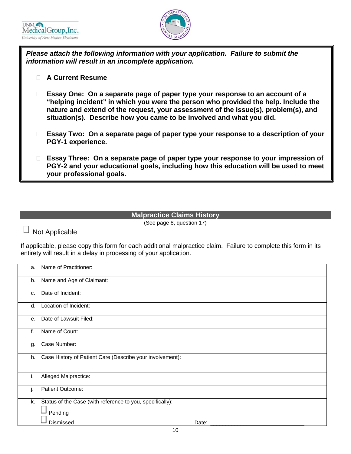



*Please attach the following information with your application. Failure to submit the information will result in an incomplete application.*

- **A Current Resume**
- **Essay One: On a separate page of paper type your response to an account of a "helping incident" in which you were the person who provided the help. Include the nature and extend of the request, your assessment of the issue(s), problem(s), and situation(s). Describe how you came to be involved and what you did.**
- **Essay Two: On a separate page of paper type your response to a description of your PGY-1 experience.**
- **Essay Three: On a separate page of paper type your response to your impression of PGY-2 and your educational goals, including how this education will be used to meet your professional goals.**

#### **Malpractice Claims History**

(See page 8, question 17)

# Not Applicable

If applicable, please copy this form for each additional malpractice claim. Failure to complete this form in its entirety will result in a delay in processing of your application.

| a.             | Name of Practitioner:                                     |
|----------------|-----------------------------------------------------------|
| b.             | Name and Age of Claimant:                                 |
| C <sub>1</sub> | Date of Incident:                                         |
| d.             | Location of Incident:                                     |
| $\mathbf{e}$ . | Date of Lawsuit Filed:                                    |
| f.             | Name of Court:                                            |
| g.             | Case Number:                                              |
| h.             | Case History of Patient Care (Describe your involvement): |
| i.             | Alleged Malpractice:                                      |
| i.             | Patient Outcome:                                          |
| k.             | Status of the Case (with reference to you, specifically): |
|                | Pending                                                   |
|                | Dismissed<br>Date:                                        |
|                | $\overline{10}$                                           |